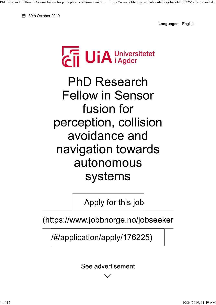**6** 30th October 2019

**Languages** English



**PhD Research Fellow in Sensor** fusion for perception, collision avoidance and navigation towards autonomous systems

Apply for this job

(https://www.jobbnorge.no/jobseeker

/#/application/apply/176225)

See advertisement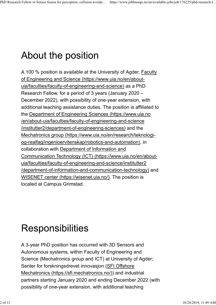## About the position

A 100 % position is available at the University of Agder, Faculty of Engineering and Science (https://www.uia.no/en/aboutuia/faculties/faculty-of-engineering-and-science) as a PhD Research Fellow, for a period of 3 years (January 2020 – December 2022), with possibility of one-year extension, with additional teaching assistance duties. The position is affiliated to the Department of Engineering Sciences (https://www.uia.no /en/about-uia/faculties/faculty-of-engineering-and-science /institutter2/department-of-engineering-sciences) and the Mechatronics group (https://www.uia.no/en/research/teknologiog-realfag/ingenioervitenskap/robotics-and-automation), in collaboration with Department of Information and Communication Technology (ICT) (https://www.uia.no/en/aboutuia/faculties/faculty-of-engineering-and-science/institutter2 /department-of-information-and-communication-technology) and WISENET center (https://wisenet.uia.no/). The position is located at Campus Grimstad.

# **Responsibilities**

A 3-year PhD position has occurred with 3D Sensors and Autonomous systems, within Faculty of Engineering and Science (Mechatronics group and ICT) at University of Agder; Senter for forskningsdrevet innovasjon (SFI Offshore Mechatronics (https://sfi.mechatronics.no/)) and industrial partners starting January 2020 and ending December 2022 (with possibility of one-year extension, with additional teaching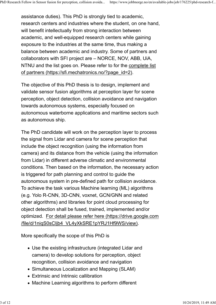assistance duties). This PhD is strongly tied to academic, research centers and industries where the student, on one hand, will benefit intellectually from strong interaction between academic, and well-equipped research centers while gaining exposure to the industries at the same time, thus making a balance between academic and industry. Some of partners and collaborators with SFI project are – NORCE, NOV, ABB, UiA, NTNU and the list goes on. Please refer to for the complete list of partners (https://sfi.mechatronics.no/?page\_id=2).

The objective of this PhD thesis is to design, implement and validate sensor fusion algorithms at perception layer for scene perception, object detection, collision avoidance and navigation towards autonomous systems, especially focused on autonomous waterborne applications and maritime sectors such as autonomous ship.

The PhD candidate will work on the perception layer to process the signal from Lidar and camera for scene perception that include the object recognition (using the information from camera) and its distance from the vehicle (using the information from Lidar) in different adverse climatic and environmental conditions. Then based on the information, the necessary action is triggered for path planning and control to guide the autonomous system in pre-defined path for collision avoidance. To achieve the task various Machine learning (ML) algorithms (e.g. Yolo R-CNN, 3D-CNN, voxnet, GCN/GNN and related other algorithms) and libraries for point cloud processing for object detection shall be fused, trained, implemented and/or optimized. For detail please refer here (https://drive.google.com /file/d/1niqS0sCIjb4\_VL4yXkSRE1pYRJ1Hf9WS/view).

More specifically the scope of this PhD is

- Use the existing infrastructure (integrated Lidar and camera) to develop solutions for perception, object recognition, collision avoidance and navigation
- Simultaneous Localization and Mapping (SLAM)
- Extrinsic and Intrinsic callibration
- Machine Learning algorithms to perform different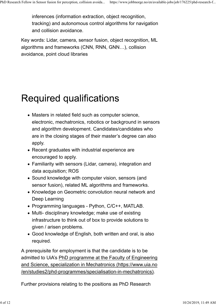inferences (information extraction, object recognition, tracking) and autonomous control algorithms for navigation and collision avoidance.

Key words: Lidar, camera, sensor fusion, object recognition, ML algorithms and frameworks (CNN, RNN, GNN…), collision avoidance, point cloud libraries

### **Required qualifications**

- Masters in related field such as computer science, electronic, mechatronics, robotics or background in sensors and algorithm development. Candidates/candidates who are in the closing stages of their master's degree can also apply.
- Recent graduates with industrial experience are encouraged to apply.
- Familiarity with sensors (Lidar, camera), integration and data acquisition; ROS
- Sound knowledge with computer vision, sensors (and sensor fusion), related ML algorithms and frameworks.
- Knowledge on Geometric convolution neural network and Deep Learning
- Programming languages Python, C/C++, MATLAB.
- Multi- disciplinary knowledge; make use of existing infrastructure to think out of box to provide solutions to given / arisen problems.
- Good knowledge of English, both written and oral, is also required.

A prerequisite for employment is that the candidate is to be admitted to UiA's PhD programme at the Faculty of Engineering and Science, specialization in Mechatronics (https://www.uia.no /en/studies2/phd-programmes/specialisation-in-mechatronics).

Further provisions relating to the positions as PhD Research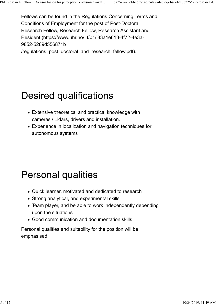Fellows can be found in the Regulations Concerning Terms and Conditions of Employment for the post of Post-Doctoral Research Fellow, Research Fellow, Research Assistant and Resident (https://www.uhr.no/\_f/p1/i83a1e613-4f72-4e3a-9852-5289d556871b /regulations\_post\_doctoral\_and\_research\_fellow.pdf).

## **Desired qualifications**

- Extensive theoretical and practical knowledge with cameras / Lidars, drivers and installation.
- Experience in localization and navigation techniques for autonomous systems

## **Personal qualities**

- Quick learner, motivated and dedicated to research
- Strong analytical, and experimental skills
- Team player, and be able to work independently depending upon the situations
- Good communication and documentation skills

Personal qualities and suitability for the position will be emphasised.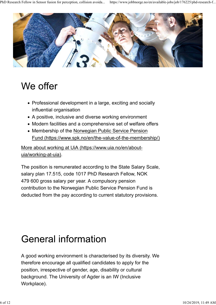

### We offer

- Professional development in a large, exciting and socially influential organisation
- A positive, inclusive and diverse working environment
- Modern facilities and a comprehensive set of welfare offers
- Membership of the Norwegian Public Service Pension Fund (https://www.spk.no/en/the-value-of-the-membership/)

More about working at UiA (https://www.uia.no/en/aboutuia/working-at-uia).

The position is remunerated according to the State Salary Scale, salary plan 17.515, code 1017 PhD Research Fellow, NOK 479 600 gross salary per year. A compulsory pension contribution to the Norwegian Public Service Pension Fund is deducted from the pay according to current statutory provisions.

### **General information**

A good working environment is characterised by its diversity. We therefore encourage all qualified candidates to apply for the position, irrespective of gender, age, disability or cultural background. The University of Agder is an IW (Inclusive Workplace).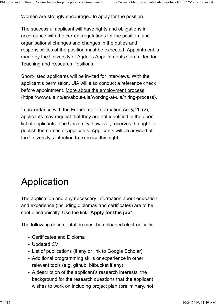Women are strongly encouraged to apply for the position.

The successful applicant will have rights and obligations in accordance with the current regulations for the position, and organisational changes and changes in the duties and responsibilities of the position must be expected. Appointment is made by the University of Agder's Appointments Committee for Teaching and Research Positions.

Short-listed applicants will be invited for interviews. With the applicant's permission, UiA will also conduct a reference check before appointment. More about the employment process (https://www.uia.no/en/about-uia/working-at-uia/hiring-process).

In accordance with the Freedom of Information Act  $\S 25(2)$ , applicants may request that they are not identified in the open list of applicants. The University, however, reserves the right to publish the names of applicants. Applicants will be advised of the University's intention to exercise this right.

# Application

The application and any necessary information about education and experience (including diplomas and certificates) are to be sent electronically. Use the link "**Apply for this job**".

The following documentation must be uploaded electronically:

- Certificates and Diploma
- Updated CV
- List of publications (if any or link to Google Scholar)
- Additional programming skills or experience in other relevant tools (e.g. github, bitbucket if any)
- A description of the applicant's research interests, the background for the research questions that the applicant wishes to work on including project plan (preliminary, not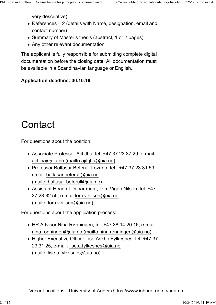very descriptive)

- References 2 (details with Name, designation, email and contact number)
- Summary of Master's thesis (abstract, 1 or 2 pages)
- Any other relevant documentation

The applicant is fully responsible for submitting complete digital documentation before the closing date. All documentation must be available in a Scandinavian language or English.

#### **Application deadline: 30.10.19**

# Contact

For questions about the position:

- Associate Professor Ajit Jha, tel. +47 37 23 37 29, e-mail ajit.jha@uia.no (mailto:ajit.jha@uia.no)
- Professor Baltasar Beferull-Lozano, tel.: +47 37 23 31 59, email: baltasar.beferull@uia.no (mailto:baltasar.beferull@uia.no)
- Assistant Head of Department, Tom Viggo Nilsen, tel. +47 37 23 32 55, e-mail tom.v.nilsen@uia.no (mailto:tom.v.nilsen@uia.no)

For questions about the application process:

- HR Advisor Nina Rønningen, tel. +47 38 14 20 16, e-mail nina.ronningen@uia.no (mailto:nina.ronningen@uia.no)
- Higher Executive Officer Lise Askbo Fylkesnes, tel. +47 37 23 31 25, e-mail: lise.a.fylkesnes@uia.no (mailto:lise.a.fylkesnes@uia.no)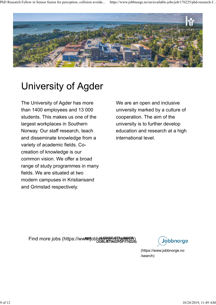

# **University of Agder**

The University of Agder has more than 1400 employees and 13 000 students. This makes us one of the largest workplaces in Southern Norway. Our staff research, teach and disseminate knowledge from a variety of academic fields. Cocreation of knowledge is our common vision. We offer a broad range of study programmes in many fields. We are situated at two modern campuses in Kristiansand and Grimstad respectively.

We are an open and inclusive university marked by a culture of cooperation. The aim of the university is to further develop education and research at a high international level.

Find more jobs (https://wwም.fobb*t*/l<del>G</del>ive=no/search) (<br>Mobilisting/PDF/176225) **PDF**

Jobbnorge

(https://www.jobbnorge.no /search)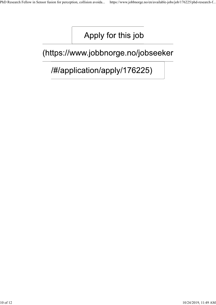#### Apply for this job

#### (https://www.jobbnorge.no/jobseeker

#### /#/application/apply/176225)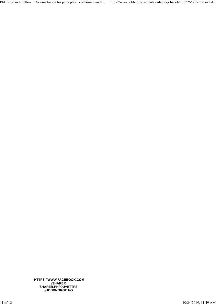PhD Research Fellow in Sensor fusion for perception, collision avoida... https://www.jobbnorge.no/en/available-jobs/job/176225/phd-research-f...

**(HTTPS://WWW.FACEBOOK.COM /SHARER /SHARER.PHP?U=HTTPS: //JOBBNORGE.NO**